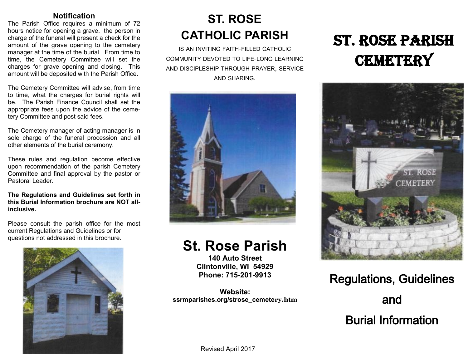#### **Notification**

The Parish Office requires a minimum of 72 hours notice for opening a grave. the person in charge of the funeral will present a check for the amount of the grave opening to the cemetery manager at the time of the burial. From time to time, the Cemetery Committee will set the charges for grave opening and closing. This amount will be deposited with the Parish Office.

The Cemetery Committee will advise, from time to time, what the charges for burial rights will be. The Parish Finance Council shall set the appropriate fees upon the advice of the cemetery Committee and post said fees.

The Cemetery manager of acting manager is in sole charge of the funeral procession and all other elements of the burial ceremony.

These rules and regulation become effective upon recommendation of the parish Cemetery Committee and final approval by the pastor or Pastoral Leader

**The Regulations and Guidelines set forth in this Burial Information brochure are NOT allinclusive.**

Please consult the parish office for the most current Regulations and Guidelines or for questions not addressed in this brochure.



## **ST. ROSE CATHOLIC PARISH**

IS AN INVITING FAITH-FILLED CATHOLIC COMMUNITY DEVOTED TO LIFE-LONG LEARNING AND DISCIPLESHIP THROUGH PRAYER, SERVICE AND SHARING.



## **St. Rose Parish**

**140 Auto Street Clintonville, WI 54929 Phone: 715-201-9913**

**Website: ssrmparishes.org/strose\_cemetery.htm**

# ST. ROSE PARISH **CEMETERY**



Regulations, Guidelines and Burial Information